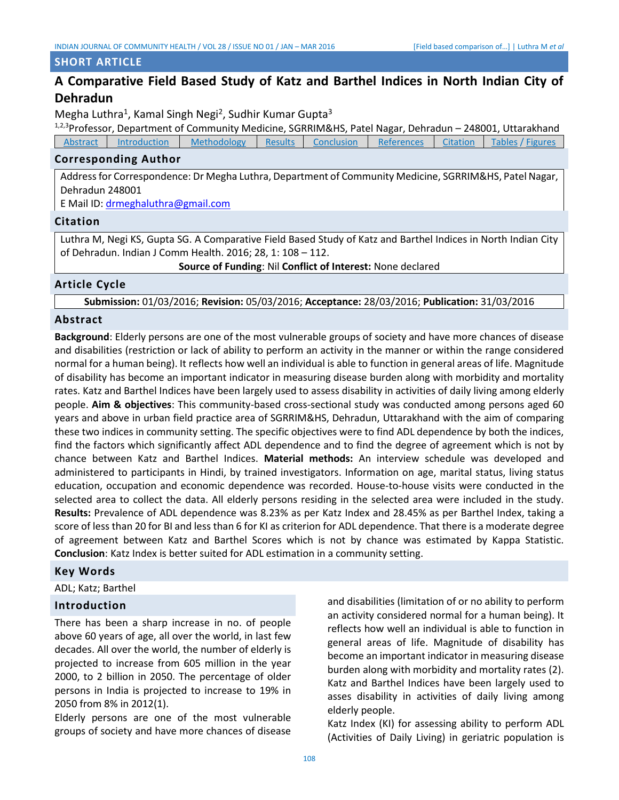## **SHORT ARTICLE**

# **A Comparative Field Based Study of Katz and Barthel Indices in North Indian City of Dehradun**

Megha Luthra<sup>1</sup>, Kamal Singh Negi<sup>2</sup>, Sudhir Kumar Gupta<sup>3</sup>

1,2,3Professor, Department of Community Medicine, SGRRIM&HS, Patel Nagar, Dehradun - 248001, Uttarakhand Abstract [Introduction](#page-0-0) [Methodology](#page-1-0) [Results](#page-1-1) [Conclusion](#page-3-0) [References](#page-3-1) [Citation](#page-0-1) Tables / Figures

## **Corresponding Author**

Address for Correspondence: Dr Megha Luthra, Department of Community Medicine, SGRRIM&HS, Patel Nagar, Dehradun 248001

E Mail ID: [drmeghaluthra@gmail.com](mailto:drmeghaluthra@gmail.com)

# **Citation**

Luthra M, Negi KS, Gupta SG. A Comparative Field Based Study of Katz and Barthel Indices in North Indian City of Dehradun. Indian J Comm Health. 2016; 28, 1: 108 – 112.

<span id="page-0-1"></span>**Source of Funding**: Nil **Conflict of Interest:** None declared

## **Article Cycle**

**Submission:** 01/03/2016; **Revision:** 05/03/2016; **Acceptance:** 28/03/2016; **Publication:** 31/03/2016

# **Abstract**

**Background**: Elderly persons are one of the most vulnerable groups of society and have more chances of disease and disabilities (restriction or lack of ability to perform an activity in the manner or within the range considered normal for a human being). It reflects how well an individual is able to function in general areas of life. Magnitude of disability has become an important indicator in measuring disease burden along with morbidity and mortality rates. Katz and Barthel Indices have been largely used to assess disability in activities of daily living among elderly people. **Aim & objectives**: This community-based cross-sectional study was conducted among persons aged 60 years and above in urban field practice area of SGRRIM&HS, Dehradun, Uttarakhand with the aim of comparing these two indices in community setting. The specific objectives were to find ADL dependence by both the indices, find the factors which significantly affect ADL dependence and to find the degree of agreement which is not by chance between Katz and Barthel Indices. **Material methods:** An interview schedule was developed and administered to participants in Hindi, by trained investigators. Information on age, marital status, living status education, occupation and economic dependence was recorded. House-to-house visits were conducted in the selected area to collect the data. All elderly persons residing in the selected area were included in the study. **Results:** Prevalence of ADL dependence was 8.23% as per Katz Index and 28.45% as per Barthel Index, taking a score of less than 20 for BI and less than 6 for KI as criterion for ADL dependence. That there is a moderate degree of agreement between Katz and Barthel Scores which is not by chance was estimated by Kappa Statistic. **Conclusion**: Katz Index is better suited for ADL estimation in a community setting.

## <span id="page-0-0"></span>**Key Words**

ADL; Katz; Barthel

## **Introduction**

There has been a sharp increase in no. of people above 60 years of age, all over the world, in last few decades. All over the world, the number of elderly is projected to increase from 605 million in the year 2000, to 2 billion in 2050. The percentage of older persons in India is projected to increase to 19% in 2050 from 8% in 2012(1).

Elderly persons are one of the most vulnerable groups of society and have more chances of disease and disabilities (limitation of or no ability to perform an activity considered normal for a human being). It reflects how well an individual is able to function in general areas of life. Magnitude of disability has become an important indicator in measuring disease burden along with morbidity and mortality rates (2). Katz and Barthel Indices have been largely used to asses disability in activities of daily living among elderly people.

Katz Index (KI) for assessing ability to perform ADL (Activities of Daily Living) in geriatric population is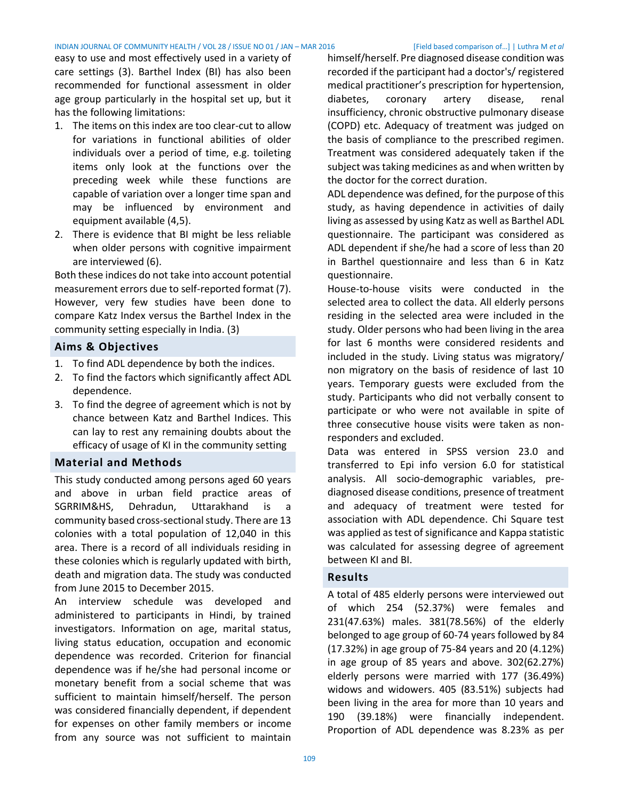easy to use and most effectively used in a variety of care settings (3). Barthel Index (BI) has also been recommended for functional assessment in older age group particularly in the hospital set up, but it has the following limitations:

- 1. The items on this index are too clear-cut to allow for variations in functional abilities of older individuals over a period of time, e.g. toileting items only look at the functions over the preceding week while these functions are capable of variation over a longer time span and may be influenced by environment and equipment available (4,5).
- 2. There is evidence that BI might be less reliable when older persons with cognitive impairment are interviewed (6).

Both these indices do not take into account potential measurement errors due to self-reported format (7). However, very few studies have been done to compare Katz Index versus the Barthel Index in the community setting especially in India. (3)

## **Aims & Objectives**

- 1. To find ADL dependence by both the indices.
- 2. To find the factors which significantly affect ADL dependence.
- 3. To find the degree of agreement which is not by chance between Katz and Barthel Indices. This can lay to rest any remaining doubts about the efficacy of usage of KI in the community setting

#### <span id="page-1-0"></span>**Material and Methods**

This study conducted among persons aged 60 years and above in urban field practice areas of SGRRIM&HS, Dehradun, Uttarakhand is a community based cross-sectional study. There are 13 colonies with a total population of 12,040 in this area. There is a record of all individuals residing in these colonies which is regularly updated with birth, death and migration data. The study was conducted from June 2015 to December 2015.

An interview schedule was developed and administered to participants in Hindi, by trained investigators. Information on age, marital status, living status education, occupation and economic dependence was recorded. Criterion for financial dependence was if he/she had personal income or monetary benefit from a social scheme that was sufficient to maintain himself/herself. The person was considered financially dependent, if dependent for expenses on other family members or income from any source was not sufficient to maintain

himself/herself. Pre diagnosed disease condition was recorded if the participant had a doctor's/ registered medical practitioner's prescription for hypertension, diabetes, coronary artery disease, renal insufficiency, chronic obstructive pulmonary disease (COPD) etc. Adequacy of treatment was judged on the basis of compliance to the prescribed regimen. Treatment was considered adequately taken if the subject was taking medicines as and when written by the doctor for the correct duration.

ADL dependence was defined, for the purpose of this study, as having dependence in activities of daily living as assessed by using Katz as well as Barthel ADL questionnaire. The participant was considered as ADL dependent if she/he had a score of less than 20 in Barthel questionnaire and less than 6 in Katz questionnaire.

House-to-house visits were conducted in the selected area to collect the data. All elderly persons residing in the selected area were included in the study. Older persons who had been living in the area for last 6 months were considered residents and included in the study. Living status was migratory/ non migratory on the basis of residence of last 10 years. Temporary guests were excluded from the study. Participants who did not verbally consent to participate or who were not available in spite of three consecutive house visits were taken as nonresponders and excluded.

Data was entered in SPSS version 23.0 and transferred to Epi info version 6.0 for statistical analysis. All socio-demographic variables, prediagnosed disease conditions, presence of treatment and adequacy of treatment were tested for association with ADL dependence. Chi Square test was applied as test of significance and Kappa statistic was calculated for assessing degree of agreement between KI and BI.

## <span id="page-1-1"></span>**Results**

A total of 485 elderly persons were interviewed out of which 254 (52.37%) were females and 231(47.63%) males. 381(78.56%) of the elderly belonged to age group of 60-74 years followed by 84 (17.32%) in age group of 75-84 years and 20 (4.12%) in age group of 85 years and above. 302(62.27%) elderly persons were married with 177 (36.49%) widows and widowers. 405 (83.51%) subjects had been living in the area for more than 10 years and 190 (39.18%) were financially independent. Proportion of ADL dependence was 8.23% as per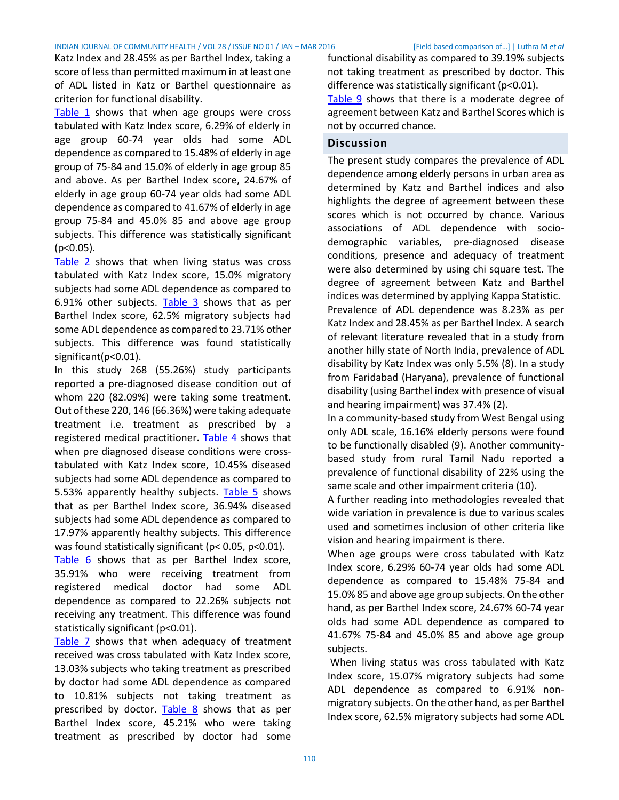Katz Index and 28.45% as per Barthel Index, taking a score of less than permitted maximum in at least one of ADL listed in Katz or Barthel questionnaire as criterion for functional disability.

[Table 1](#page-4-0) shows that when age groups were cross tabulated with Katz Index score, 6.29% of elderly in age group 60-74 year olds had some ADL dependence as compared to 15.48% of elderly in age group of 75-84 and 15.0% of elderly in age group 85 and above. As per Barthel Index score, 24.67% of elderly in age group 60-74 year olds had some ADL dependence as compared to 41.67% of elderly in age group 75-84 and 45.0% 85 and above age group subjects. This difference was statistically significant  $(p<0.05)$ .

[Table 2](#page-4-1) shows that when living status was cross tabulated with Katz Index score, 15.0% migratory subjects had some ADL dependence as compared to 6.91% other subjects. [Table 3](#page-4-2) shows that as per Barthel Index score, 62.5% migratory subjects had some ADL dependence as compared to 23.71% other subjects. This difference was found statistically significant(p<0.01).

In this study 268 (55.26%) study participants reported a pre-diagnosed disease condition out of whom 220 (82.09%) were taking some treatment. Out of these 220, 146 (66.36%) were taking adequate treatment i.e. treatment as prescribed by a registered medical practitioner. [Table 4](#page-4-3) shows that when pre diagnosed disease conditions were crosstabulated with Katz Index score, 10.45% diseased subjects had some ADL dependence as compared to 5.53% apparently healthy subjects. [Table 5](#page-4-4) shows that as per Barthel Index score, 36.94% diseased subjects had some ADL dependence as compared to 17.97% apparently healthy subjects. This difference was found statistically significant (p< 0.05, p<0.01).

[Table 6](#page-4-5) shows that as per Barthel Index score, 35.91% who were receiving treatment from registered medical doctor had some ADL dependence as compared to 22.26% subjects not receiving any treatment. This difference was found statistically significant (p<0.01).

[Table 7](#page-4-6) shows that when adequacy of treatment received was cross tabulated with Katz Index score, 13.03% subjects who taking treatment as prescribed by doctor had some ADL dependence as compared to 10.81% subjects not taking treatment as prescribed by doctor. [Table 8](#page-4-7) shows that as per Barthel Index score, 45.21% who were taking treatment as prescribed by doctor had some

functional disability as compared to 39.19% subjects not taking treatment as prescribed by doctor. This difference was statistically significant (p<0.01).

[Table 9](#page-4-8) shows that there is a moderate degree of agreement between Katz and Barthel Scores which is not by occurred chance.

# **Discussion**

The present study compares the prevalence of ADL dependence among elderly persons in urban area as determined by Katz and Barthel indices and also highlights the degree of agreement between these scores which is not occurred by chance. Various associations of ADL dependence with sociodemographic variables, pre-diagnosed disease conditions, presence and adequacy of treatment were also determined by using chi square test. The degree of agreement between Katz and Barthel indices was determined by applying Kappa Statistic. Prevalence of ADL dependence was 8.23% as per Katz Index and 28.45% as per Barthel Index. A search of relevant literature revealed that in a study from another hilly state of North India, prevalence of ADL disability by Katz Index was only 5.5% (8). In a study from Faridabad (Haryana), prevalence of functional disability (using Barthel index with presence of visual and hearing impairment) was 37.4% (2).

In a community-based study from West Bengal using only ADL scale, 16.16% elderly persons were found to be functionally disabled (9). Another communitybased study from rural Tamil Nadu reported a prevalence of functional disability of 22% using the same scale and other impairment criteria (10).

A further reading into methodologies revealed that wide variation in prevalence is due to various scales used and sometimes inclusion of other criteria like vision and hearing impairment is there.

When age groups were cross tabulated with Katz Index score, 6.29% 60-74 year olds had some ADL dependence as compared to 15.48% 75-84 and 15.0% 85 and above age group subjects. On the other hand, as per Barthel Index score, 24.67% 60-74 year olds had some ADL dependence as compared to 41.67% 75-84 and 45.0% 85 and above age group subjects.

When living status was cross tabulated with Katz Index score, 15.07% migratory subjects had some ADL dependence as compared to 6.91% nonmigratory subjects. On the other hand, as per Barthel Index score, 62.5% migratory subjects had some ADL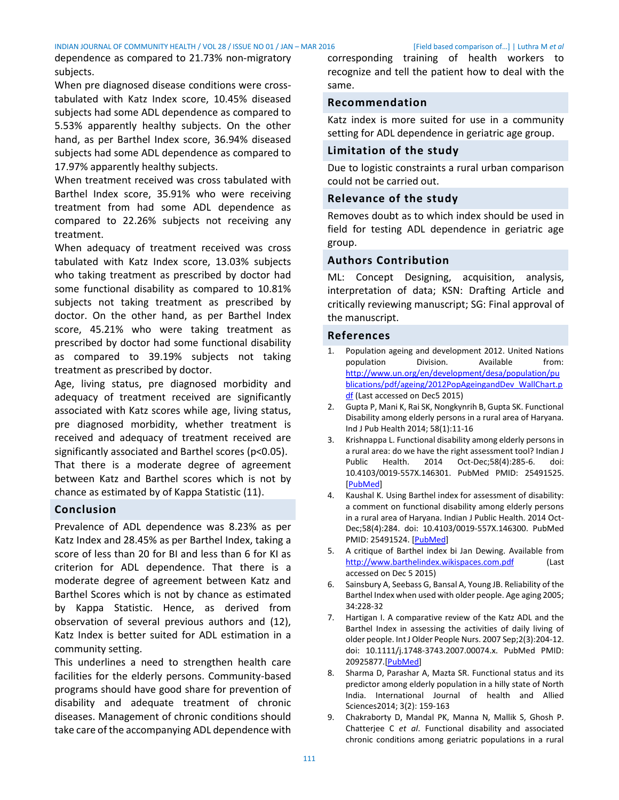dependence as compared to 21.73% non-migratory subjects.

When pre diagnosed disease conditions were crosstabulated with Katz Index score, 10.45% diseased subjects had some ADL dependence as compared to 5.53% apparently healthy subjects. On the other hand, as per Barthel Index score, 36.94% diseased subjects had some ADL dependence as compared to 17.97% apparently healthy subjects.

When treatment received was cross tabulated with Barthel Index score, 35.91% who were receiving treatment from had some ADL dependence as compared to 22.26% subjects not receiving any treatment.

When adequacy of treatment received was cross tabulated with Katz Index score, 13.03% subjects who taking treatment as prescribed by doctor had some functional disability as compared to 10.81% subjects not taking treatment as prescribed by doctor. On the other hand, as per Barthel Index score, 45.21% who were taking treatment as prescribed by doctor had some functional disability as compared to 39.19% subjects not taking treatment as prescribed by doctor.

Age, living status, pre diagnosed morbidity and adequacy of treatment received are significantly associated with Katz scores while age, living status, pre diagnosed morbidity, whether treatment is received and adequacy of treatment received are significantly associated and Barthel scores (p<0.05).

That there is a moderate degree of agreement between Katz and Barthel scores which is not by chance as estimated by of Kappa Statistic (11).

# <span id="page-3-0"></span>**Conclusion**

Prevalence of ADL dependence was 8.23% as per Katz Index and 28.45% as per Barthel Index, taking a score of less than 20 for BI and less than 6 for KI as criterion for ADL dependence. That there is a moderate degree of agreement between Katz and Barthel Scores which is not by chance as estimated by Kappa Statistic. Hence, as derived from observation of several previous authors and (12), Katz Index is better suited for ADL estimation in a community setting.

This underlines a need to strengthen health care facilities for the elderly persons. Community-based programs should have good share for prevention of disability and adequate treatment of chronic diseases. Management of chronic conditions should take care of the accompanying ADL dependence with

corresponding training of health workers to recognize and tell the patient how to deal with the same.

# **Recommendation**

Katz index is more suited for use in a community setting for ADL dependence in geriatric age group.

# **Limitation of the study**

Due to logistic constraints a rural urban comparison could not be carried out.

# **Relevance of the study**

Removes doubt as to which index should be used in field for testing ADL dependence in geriatric age group.

# **Authors Contribution**

ML: Concept Designing, acquisition, analysis, interpretation of data; KSN: Drafting Article and critically reviewing manuscript; SG: Final approval of the manuscript.

# <span id="page-3-1"></span>**References**

- 1. Population ageing and development 2012. United Nations population Division. Available from: [http://www.un.org/en/development/desa/population/pu](http://www.un.org/en/development/desa/population/publications/pdf/ageing/2012PopAgeingandDev_WallChart.pdf) [blications/pdf/ageing/2012PopAgeingandDev\\_WallChart.p](http://www.un.org/en/development/desa/population/publications/pdf/ageing/2012PopAgeingandDev_WallChart.pdf) [df](http://www.un.org/en/development/desa/population/publications/pdf/ageing/2012PopAgeingandDev_WallChart.pdf) (Last accessed on Dec5 2015)
- 2. Gupta P, Mani K, Rai SK, Nongkynrih B, Gupta SK. Functional Disability among elderly persons in a rural area of Haryana. Ind J Pub Health 2014; 58(1):11-16
- 3. Krishnappa L. Functional disability among elderly persons in a rural area: do we have the right assessment tool? Indian J Public Health. 2014 Oct-Dec;58(4):285-6. doi: 10.4103/0019-557X.146301. PubMed PMID: 25491525. [\[PubMed\]](http://www.ncbi.nlm.nih.gov/pubmed/25491525)
- Kaushal K. Using Barthel index for assessment of disability: a comment on functional disability among elderly persons in a rural area of Haryana. Indian J Public Health. 2014 Oct-Dec;58(4):284. doi: 10.4103/0019-557X.146300. PubMed PMID: 25491524. [\[PubMed\]](http://www.ncbi.nlm.nih.gov/pubmed/25491524)
- 5. A critique of Barthel index bi Jan Dewing. Available from [http://www.barthelindex.wikispaces.com.pdf](http://www.barthelindex.wikispaces.com.pdf/) (Last accessed on Dec 5 2015)
- 6. Sainsbury A, Seebass G, Bansal A, Young JB. Reliability of the Barthel Index when used with older people. Age aging 2005; 34:228-32
- 7. Hartigan I. A comparative review of the Katz ADL and the Barthel Index in assessing the activities of daily living of older people. Int J Older People Nurs. 2007 Sep;2(3):204-12. doi: 10.1111/j.1748-3743.2007.00074.x. PubMed PMID: 20925877.[\[PubMed\]](http://www.ncbi.nlm.nih.gov/pubmed/20925877)
- 8. Sharma D, Parashar A, Mazta SR. Functional status and its predictor among elderly population in a hilly state of North India. International Journal of health and Allied Sciences2014; 3(2): 159-163
- 9. Chakraborty D, Mandal PK, Manna N, Mallik S, Ghosh P. Chatterjee C *et al*. Functional disability and associated chronic conditions among geriatric populations in a rural